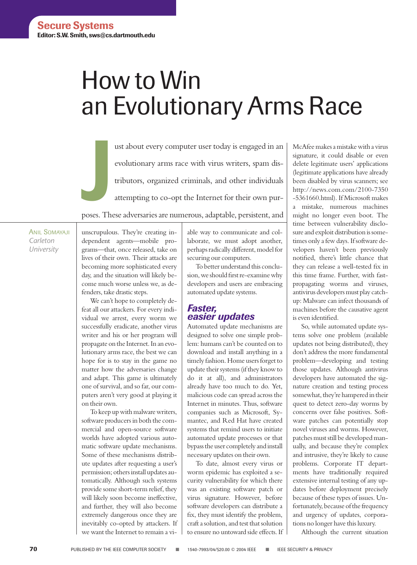# How to Win an Evolutionary Arms Race

**J** ust about every computer user today is engaged in an evolutionary arms race with virus writers, spam distributors, organized criminals, and other individuals attempting to co-opt the Internet for their own purposes. These adversaries are numerous, adaptable, persistent, and

ANIL SOMAYAJI *Carleton University*

unscrupulous. They're creating independent agents—mobile programs—that, once released, take on lives of their own. Their attacks are becoming more sophisticated every day, and the situation will likely become much worse unless we, as defenders, take drastic steps.

We can't hope to completely defeat all our attackers. For every individual we arrest, every worm we successfully eradicate, another virus writer and his or her program will propagate on the Internet. In an evolutionary arms race, the best we can hope for is to stay in the game no matter how the adversaries change and adapt. This game is ultimately one of survival, and so far, our computers aren't very good at playing it on their own.

To keep up with malware writers, software producers in both the commercial and open-source software worlds have adopted various automatic software update mechanisms. Some of these mechanisms distribute updates after requesting a user's permission; others install updates automatically. Although such systems provide some short-term relief, they will likely soon become ineffective, and further, they will also become extremely dangerous once they are inevitably co-opted by attackers. If we want the Internet to remain a vi-

able way to communicate and collaborate, we must adopt another, perhaps radically different, model for securing our computers.

To better understand this conclusion, we should first re-examine why developers and users are embracing automated update systems.

### *Faster, easier updates*

Automated update mechanisms are designed to solve one simple problem: humans can't be counted on to download and install anything in a timely fashion. Home users forget to update their systems (if they know to do it at all), and administrators already have too much to do. Yet, malicious code can spread across the Internet in minutes. Thus, software companies such as Microsoft, Symantec, and Red Hat have created systems that remind users to initiate automated update processes or that bypass the user completely and install necessary updates on their own.

To date, almost every virus or worm epidemic has exploited a security vulnerability for which there was an existing software patch or virus signature. However, before software developers can distribute a fix, they must identify the problem, craft a solution, and test that solution to ensure no untoward side effects. If

McAfee makes a mistake with a virus signature, it could disable or even delete legitimate users' applications (legitimate applications have already been disabled by virus scanners; see http://news.com.com/2100-7350 -5361660.html). If Microsoft makes a mistake, numerous machines might no longer even boot. The time between vulnerability disclosure and exploit distribution is sometimes only a few days. If software developers haven't been previously notified, there's little chance that they can release a well-tested fix in this time frame. Further, with fastpropagating worms and viruses, antivirus developers must play catchup: Malware can infect thousands of machines before the causative agent is even identified.

So, while automated update systems solve one problem (available updates not being distributed), they don't address the more fundamental problem—developing and testing those updates. Although antivirus developers have automated the signature creation and testing process somewhat, they're hampered in their quest to detect zero-day worms by concerns over false positives. Software patches can potentially stop novel viruses and worms. However, patches must still be developed manually, and because they're complex and intrusive, they're likely to cause problems. Corporate IT departments have traditionally required extensive internal testing of any updates before deployment precisely because of these types of issues. Unfortunately, because of the frequency and urgency of updates, corporations no longer have this luxury.

Although the current situation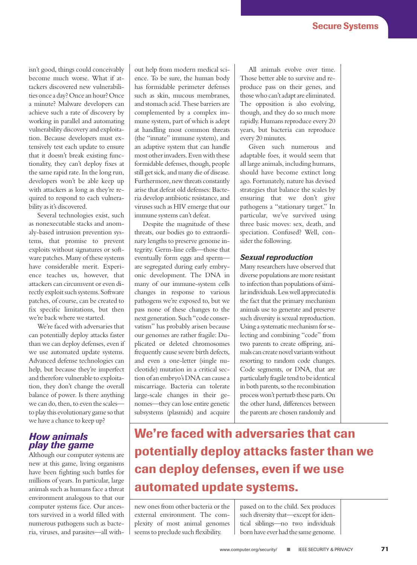isn't good, things could conceivably become much worse. What if attackers discovered new vulnerabilities once a day? Once an hour? Once a minute? Malware developers can achieve such a rate of discovery by working in parallel and automating vulnerability discovery and exploitation. Because developers must extensively test each update to ensure that it doesn't break existing functionality, they can't deploy fixes at the same rapid rate. In the long run, developers won't be able keep up with attackers as long as they're required to respond to each vulnerability as it's discovered.

Several technologies exist, such as nonexecutable stacks and anomaly-based intrusion prevention systems, that promise to prevent exploits without signatures or software patches. Many of these systems have considerable merit. Experience teaches us, however, that attackers can circumvent or even directly exploit such systems. Software patches, of course, can be created to fix specific limitations, but then we're back where we started.

We're faced with adversaries that can potentially deploy attacks faster than we can deploy defenses, even if we use automated update systems. Advanced defense technologies can help, but because they're imperfect and therefore vulnerable to exploitation, they don't change the overall balance of power. Is there anything we can do, then, to even the scales to play this evolutionary game so that we have a chance to keep up?

### *How animals play the game*

Although our computer systems are new at this game, living organisms have been fighting such battles for millions of years. In particular, large animals such as humans face a threat environment analogous to that our computer systems face. Our ancestors survived in a world filled with numerous pathogens such as bacteria, viruses, and parasites—all without help from modern medical science. To be sure, the human body has formidable perimeter defenses such as skin, mucous membranes, and stomach acid. These barriers are complemented by a complex immune system, part of which is adept at handling most common threats (the "innate" immune system), and an adaptive system that can handle most other invaders. Even with these formidable defenses, though, people still get sick, and many die of disease. Furthermore, new threats constantly arise that defeat old defenses: Bacteria develop antibiotic resistance, and viruses such as HIV emerge that our immune systems can't defeat.

Despite the magnitude of these threats, our bodies go to extraordinary lengths to preserve genome integrity. Germ-line cells—those that eventually form eggs and sperm are segregated during early embryonic development. The DNA in many of our immune-system cells changes in response to various pathogens we're exposed to, but we pass none of these changes to the next generation. Such "code conservatism" has probably arisen because our genomes are rather fragile: Duplicated or deleted chromosomes frequently cause severe birth defects, and even a one-letter (single nucleotide) mutation in a critical section of an embryo's DNA can cause a miscarriage. Bacteria can tolerate large-scale changes in their genomes—they can lose entire genetic subsystems (plasmids) and acquire

All animals evolve over time. Those better able to survive and reproduce pass on their genes, and those who can't adapt are eliminated. The opposition is also evolving, though, and they do so much more rapidly. Humans reproduce every 20 years, but bacteria can reproduce every 20 minutes.

Given such numerous and adaptable foes, it would seem that all large animals, including humans, should have become extinct long ago. Fortunately, nature has devised strategies that balance the scales by ensuring that we don't give pathogens a "stationary target." In particular, we've survived using three basic moves: sex, death, and speciation. Confused? Well, consider the following.

### *Sexual reproduction*

Many researchers have observed that diverse populations are more resistant to infection than populations of similar individuals. Less well appreciated is the fact that the primary mechanism animals use to generate and preserve such diversity is sexual reproduction. Using a systematic mechanism for selecting and combining "code" from two parents to create offspring, animals can create novel variants without resorting to random code changes. Code segments, or DNA, that are particularly fragile tend to be identical in both parents, so the recombination process won't perturb these parts. On the other hand, differences between the parents are chosen randomly and

## **We're faced with adversaries that can potentially deploy attacks faster than we can deploy defenses, even if we use automated update systems.**

new ones from other bacteria or the external environment. The complexity of most animal genomes seems to preclude such flexibility.

passed on to the child. Sex produces such diversity that—except for identical siblings—no two individuals born have ever had the same genome.